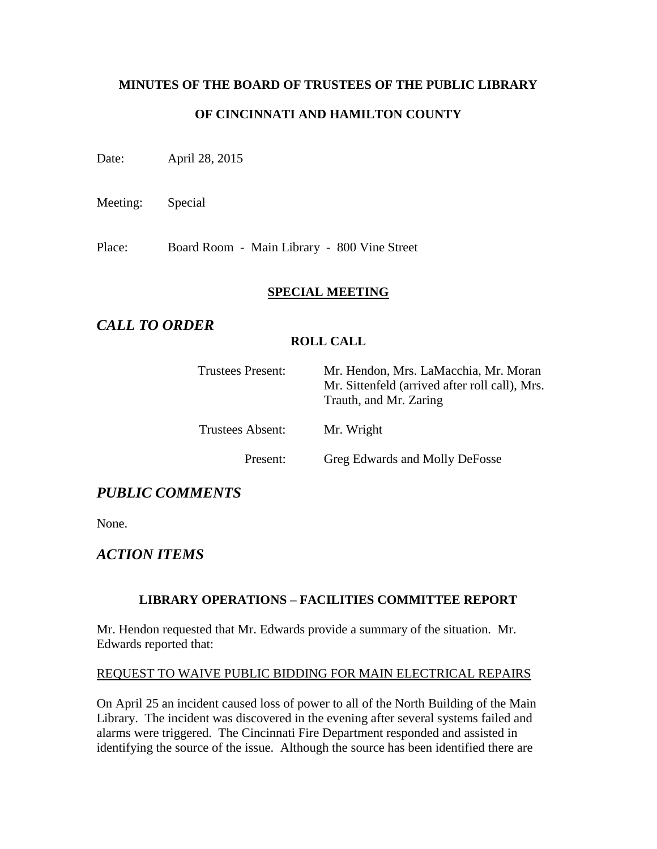# **MINUTES OF THE BOARD OF TRUSTEES OF THE PUBLIC LIBRARY**

### **OF CINCINNATI AND HAMILTON COUNTY**

Date: April 28, 2015

Meeting: Special

Place: Board Room - Main Library - 800 Vine Street

#### **SPECIAL MEETING**

## *CALL TO ORDER*

#### **ROLL CALL**

| <b>Trustees Present:</b> | Mr. Hendon, Mrs. LaMacchia, Mr. Moran<br>Mr. Sittenfeld (arrived after roll call), Mrs.<br>Trauth, and Mr. Zaring |
|--------------------------|-------------------------------------------------------------------------------------------------------------------|
| <b>Trustees Absent:</b>  | Mr. Wright                                                                                                        |
| Present:                 | Greg Edwards and Molly DeFosse                                                                                    |

## *PUBLIC COMMENTS*

None.

## *ACTION ITEMS*

#### **LIBRARY OPERATIONS – FACILITIES COMMITTEE REPORT**

Mr. Hendon requested that Mr. Edwards provide a summary of the situation. Mr. Edwards reported that:

#### REQUEST TO WAIVE PUBLIC BIDDING FOR MAIN ELECTRICAL REPAIRS

On April 25 an incident caused loss of power to all of the North Building of the Main Library. The incident was discovered in the evening after several systems failed and alarms were triggered. The Cincinnati Fire Department responded and assisted in identifying the source of the issue. Although the source has been identified there are